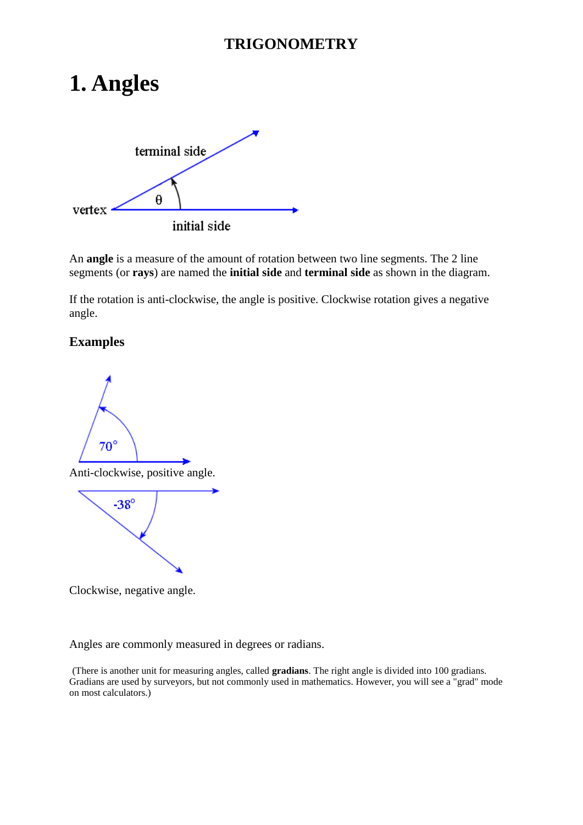# **1. Angles**



An **angle** is a measure of the amount of rotation between two line segments. The 2 line segments (or **rays**) are named the **initial side** and **terminal side** as shown in the diagram.

If the rotation is anti-clockwise, the angle is positive. Clockwise rotation gives a negative angle.

#### **Examples**





Clockwise, negative angle.

Angles are commonly measured in degrees or radians.

(There is another unit for measuring angles, called **gradians**. The right angle is divided into 100 gradians. Gradians are used by surveyors, but not commonly used in mathematics. However, you will see a "grad" mode on most calculators.)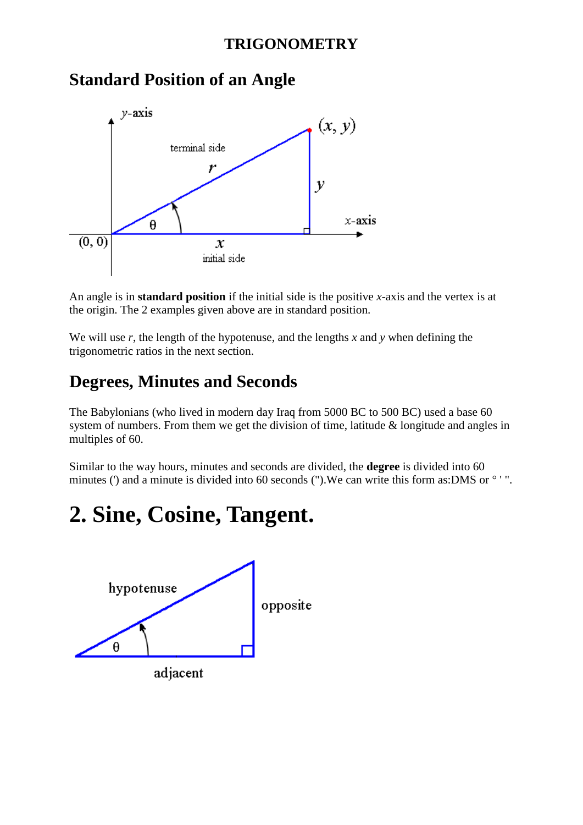

## **Standard Position of an Angle**

An angle is in **standard position** if the initial side is the positive *x*-axis and the vertex is at the origin. The 2 examples given above are in standard position.

We will use  $r$ , the length of the hypotenuse, and the lengths  $x$  and  $y$  when defining the trigonometric ratios in the next section.

## **Degrees, Minutes and Seconds**

The Babylonians (who lived in modern day Iraq from 5000 BC to 500 BC) used a base 60 system of numbers. From them we get the division of time, latitude & longitude and angles in multiples of 60.

Similar to the way hours, minutes and seconds are divided, the **degree** is divided into 60 minutes (') and a minute is divided into 60 seconds ("). We can write this form as:DMS or  $\degree$  '".

# **2. Sine, Cosine, Tangent.**

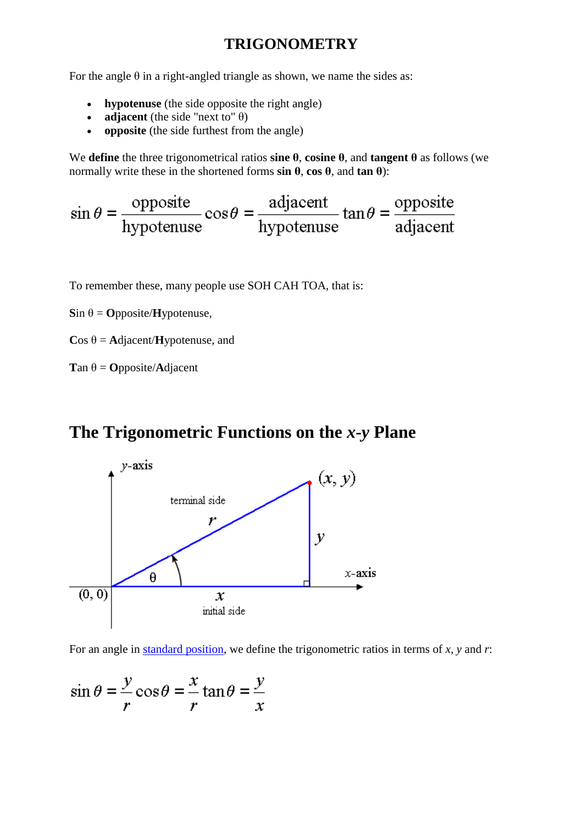For the angle  $\theta$  in a right-angled triangle as shown, we name the sides as:

- **hypotenuse** (the side opposite the right angle)
- **adjacent** (the side "next to"  $\theta$ )
- **opposite** (the side furthest from the angle)

We **define** the three trigonometrical ratios **sine θ**, **cosine θ**, and **tangent θ** as follows (we normally write these in the shortened forms **sin θ**, **cos θ**, and **tan θ**):

$$
\sin \theta = \frac{\text{opposite}}{\text{hypotenuse}} \cos \theta = \frac{\text{adjacent}}{\text{hypotenuse}} \tan \theta = \frac{\text{opposite}}{\text{adjacent}}
$$

To remember these, many people use SOH CAH TOA, that is:

 $\sin \theta = \text{Opposite}/\text{Hypotenuse},$ 

 $\cos \theta = \text{Adjacent/Hypotenuse}$ , and

**T**an θ = **O**pposite/**A**djacent

## **The Trigonometric Functions on the** *x-y* **Plane**



For an angle in [standard position,](http://www.intmath.com/Trigonometric-functions/1_Angles.php) we define the trigonometric ratios in terms of *x, y* and *r*:

$$
\sin \theta = \frac{y}{r} \cos \theta = \frac{x}{r} \tan \theta = \frac{y}{x}
$$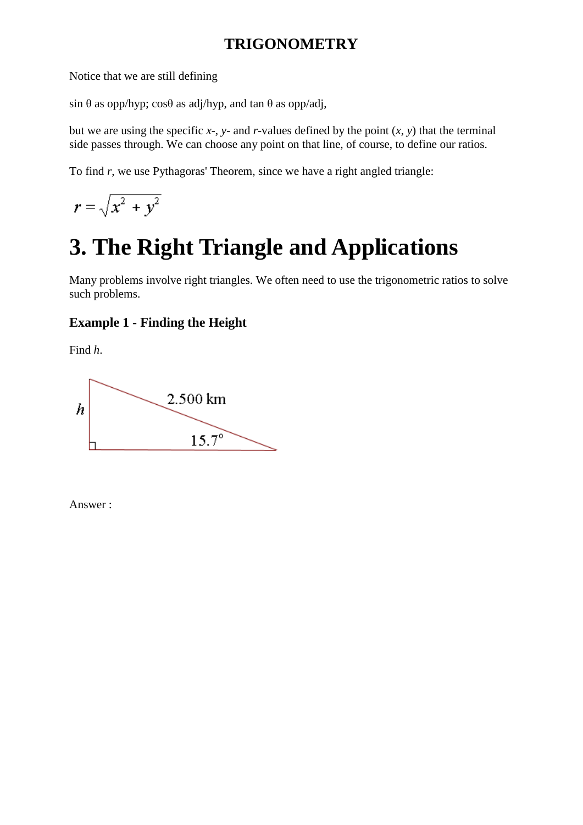Notice that we are still defining

sin  $\theta$  as opp/hyp; cos $\theta$  as adj/hyp, and tan  $\theta$  as opp/adj,

but we are using the specific  $x$ -,  $y$ - and  $r$ -values defined by the point  $(x, y)$  that the terminal side passes through. We can choose any point on that line, of course, to define our ratios.

To find *r*, we use Pythagoras' Theorem, since we have a right angled triangle:

 $r = \sqrt{x^2 + y^2}$ 

# **3. The Right Triangle and Applications**

Many problems involve right triangles. We often need to use the trigonometric ratios to solve such problems.

### **Example 1 - Finding the Height**

Find *h*.



Answer :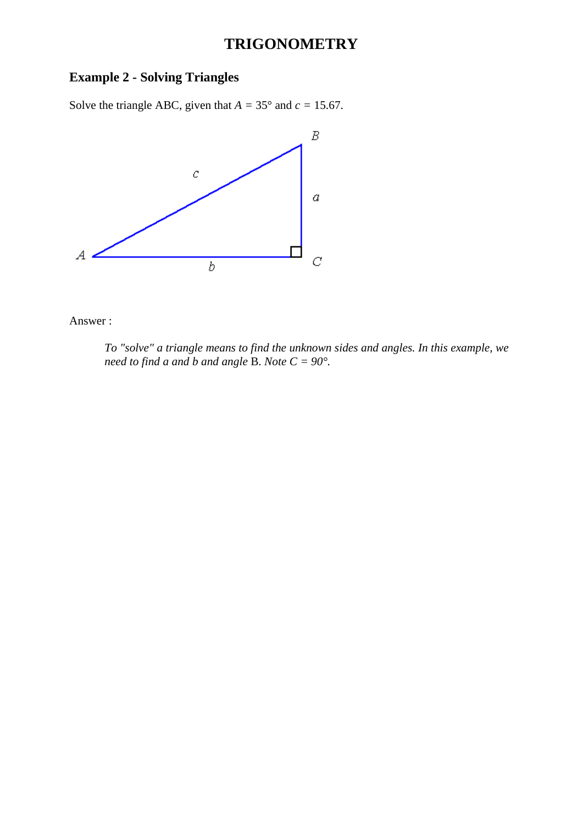### **Example 2 - Solving Triangles**

Solve the triangle ABC, given that  $A = 35^\circ$  and  $c = 15.67$ .



Answer :

*To "solve" a triangle means to find the unknown sides and angles. In this example, we need to find a and b and angle B. Note*  $C = 90^\circ$ *.*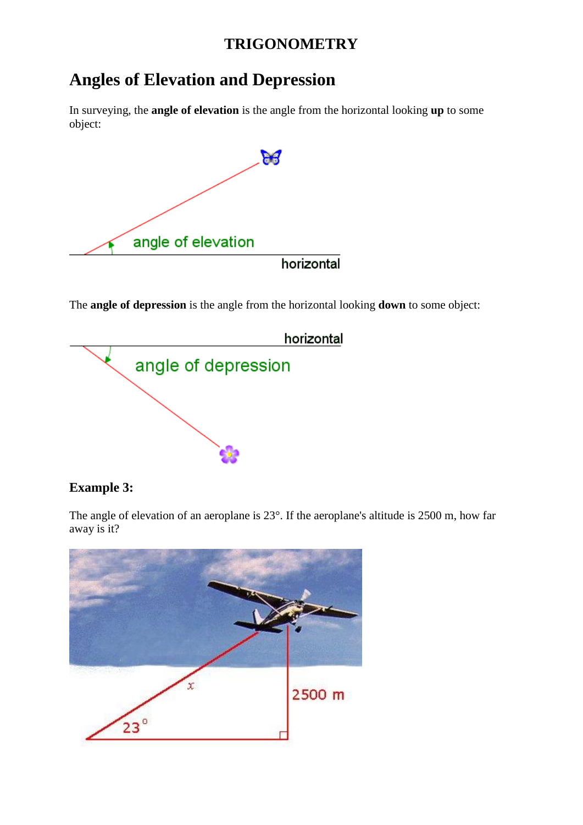## **Angles of Elevation and Depression**

In surveying, the **angle of elevation** is the angle from the horizontal looking **up** to some object:



The **angle of depression** is the angle from the horizontal looking **down** to some object:



#### **Example 3:**

The angle of elevation of an aeroplane is 23°. If the aeroplane's altitude is 2500 m, how far away is it?